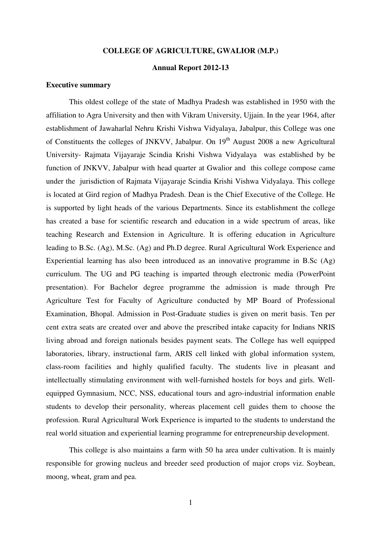#### **COLLEGE OF AGRICULTURE, GWALIOR (M.P.)**

## **Annual Report 2012-13**

#### **Executive summary**

This oldest college of the state of Madhya Pradesh was established in 1950 with the affiliation to Agra University and then with Vikram University, Ujjain. In the year 1964, after establishment of Jawaharlal Nehru Krishi Vishwa Vidyalaya, Jabalpur, this College was one of Constituents the colleges of JNKVV, Jabalpur. On 19<sup>th</sup> August 2008 a new Agricultural University- Rajmata Vijayaraje Scindia Krishi Vishwa Vidyalaya was established by be function of JNKVV, Jabalpur with head quarter at Gwalior and this college compose came under the jurisdiction of Rajmata Vijayaraje Scindia Krishi Vishwa Vidyalaya. This college is located at Gird region of Madhya Pradesh. Dean is the Chief Executive of the College. He is supported by light heads of the various Departments. Since its establishment the college has created a base for scientific research and education in a wide spectrum of areas, like teaching Research and Extension in Agriculture. It is offering education in Agriculture leading to B.Sc. (Ag), M.Sc. (Ag) and Ph.D degree. Rural Agricultural Work Experience and Experiential learning has also been introduced as an innovative programme in B.Sc (Ag) curriculum. The UG and PG teaching is imparted through electronic media (PowerPoint presentation). For Bachelor degree programme the admission is made through Pre Agriculture Test for Faculty of Agriculture conducted by MP Board of Professional Examination, Bhopal. Admission in Post-Graduate studies is given on merit basis. Ten per cent extra seats are created over and above the prescribed intake capacity for Indians NRIS living abroad and foreign nationals besides payment seats. The College has well equipped laboratories, library, instructional farm, ARIS cell linked with global information system, class-room facilities and highly qualified faculty. The students live in pleasant and intellectually stimulating environment with well-furnished hostels for boys and girls. Wellequipped Gymnasium, NCC, NSS, educational tours and agro-industrial information enable students to develop their personality, whereas placement cell guides them to choose the profession. Rural Agricultural Work Experience is imparted to the students to understand the real world situation and experiential learning programme for entrepreneurship development.

This college is also maintains a farm with 50 ha area under cultivation. It is mainly responsible for growing nucleus and breeder seed production of major crops viz. Soybean, moong, wheat, gram and pea.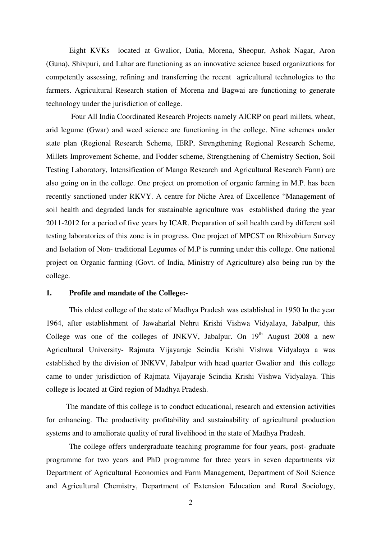Eight KVKs located at Gwalior, Datia, Morena, Sheopur, Ashok Nagar, Aron (Guna), Shivpuri, and Lahar are functioning as an innovative science based organizations for competently assessing, refining and transferring the recent agricultural technologies to the farmers. Agricultural Research station of Morena and Bagwai are functioning to generate technology under the jurisdiction of college.

 Four All India Coordinated Research Projects namely AICRP on pearl millets, wheat, arid legume (Gwar) and weed science are functioning in the college. Nine schemes under state plan (Regional Research Scheme, IERP, Strengthening Regional Research Scheme, Millets Improvement Scheme, and Fodder scheme, Strengthening of Chemistry Section, Soil Testing Laboratory, Intensification of Mango Research and Agricultural Research Farm) are also going on in the college. One project on promotion of organic farming in M.P. has been recently sanctioned under RKVY. A centre for Niche Area of Excellence "Management of soil health and degraded lands for sustainable agriculture was established during the year 2011-2012 for a period of five years by ICAR. Preparation of soil health card by different soil testing laboratories of this zone is in progress. One project of MPCST on Rhizobium Survey and Isolation of Non- traditional Legumes of M.P is running under this college. One national project on Organic farming (Govt. of India, Ministry of Agriculture) also being run by the college.

### **1. Profile and mandate of the College:-**

This oldest college of the state of Madhya Pradesh was established in 1950 In the year 1964, after establishment of Jawaharlal Nehru Krishi Vishwa Vidyalaya, Jabalpur, this College was one of the colleges of JNKVV, Jabalpur. On  $19<sup>th</sup>$  August 2008 a new Agricultural University- Rajmata Vijayaraje Scindia Krishi Vishwa Vidyalaya a was established by the division of JNKVV, Jabalpur with head quarter Gwalior and this college came to under jurisdiction of Rajmata Vijayaraje Scindia Krishi Vishwa Vidyalaya. This college is located at Gird region of Madhya Pradesh.

The mandate of this college is to conduct educational, research and extension activities for enhancing. The productivity profitability and sustainability of agricultural production systems and to ameliorate quality of rural livelihood in the state of Madhya Pradesh.

The college offers undergraduate teaching programme for four years, post- graduate programme for two years and PhD programme for three years in seven departments viz Department of Agricultural Economics and Farm Management, Department of Soil Science and Agricultural Chemistry, Department of Extension Education and Rural Sociology,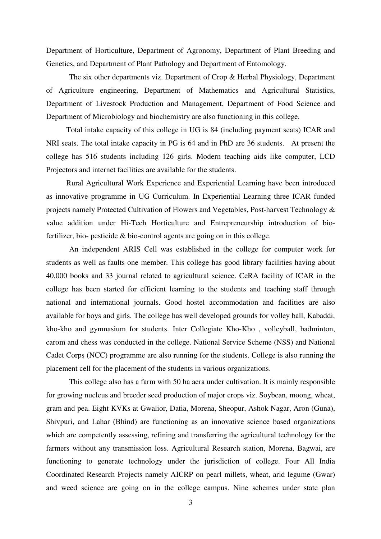Department of Horticulture, Department of Agronomy, Department of Plant Breeding and Genetics, and Department of Plant Pathology and Department of Entomology.

The six other departments viz. Department of Crop & Herbal Physiology, Department of Agriculture engineering, Department of Mathematics and Agricultural Statistics, Department of Livestock Production and Management, Department of Food Science and Department of Microbiology and biochemistry are also functioning in this college.

Total intake capacity of this college in UG is 84 (including payment seats) ICAR and NRI seats. The total intake capacity in PG is 64 and in PhD are 36 students. At present the college has 516 students including 126 girls. Modern teaching aids like computer, LCD Projectors and internet facilities are available for the students.

Rural Agricultural Work Experience and Experiential Learning have been introduced as innovative programme in UG Curriculum. In Experiential Learning three ICAR funded projects namely Protected Cultivation of Flowers and Vegetables, Post-harvest Technology & value addition under Hi-Tech Horticulture and Entrepreneurship introduction of biofertilizer, bio- pesticide & bio-control agents are going on in this college.

An independent ARIS Cell was established in the college for computer work for students as well as faults one member. This college has good library facilities having about 40,000 books and 33 journal related to agricultural science. CeRA facility of ICAR in the college has been started for efficient learning to the students and teaching staff through national and international journals. Good hostel accommodation and facilities are also available for boys and girls. The college has well developed grounds for volley ball, Kabaddi, kho-kho and gymnasium for students. Inter Collegiate Kho-Kho , volleyball, badminton, carom and chess was conducted in the college. National Service Scheme (NSS) and National Cadet Corps (NCC) programme are also running for the students. College is also running the placement cell for the placement of the students in various organizations.

This college also has a farm with 50 ha aera under cultivation. It is mainly responsible for growing nucleus and breeder seed production of major crops viz. Soybean, moong, wheat, gram and pea. Eight KVKs at Gwalior, Datia, Morena, Sheopur, Ashok Nagar, Aron (Guna), Shivpuri, and Lahar (Bhind) are functioning as an innovative science based organizations which are competently assessing, refining and transferring the agricultural technology for the farmers without any transmission loss. Agricultural Research station, Morena, Bagwai, are functioning to generate technology under the jurisdiction of college. Four All India Coordinated Research Projects namely AICRP on pearl millets, wheat, arid legume (Gwar) and weed science are going on in the college campus. Nine schemes under state plan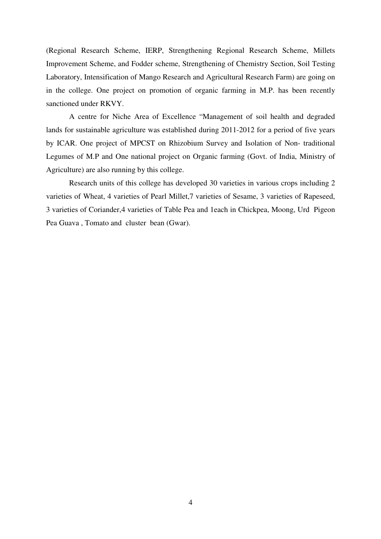(Regional Research Scheme, IERP, Strengthening Regional Research Scheme, Millets Improvement Scheme, and Fodder scheme, Strengthening of Chemistry Section, Soil Testing Laboratory, Intensification of Mango Research and Agricultural Research Farm) are going on in the college. One project on promotion of organic farming in M.P. has been recently sanctioned under RKVY.

A centre for Niche Area of Excellence "Management of soil health and degraded lands for sustainable agriculture was established during 2011-2012 for a period of five years by ICAR. One project of MPCST on Rhizobium Survey and Isolation of Non- traditional Legumes of M.P and One national project on Organic farming (Govt. of India, Ministry of Agriculture) are also running by this college.

Research units of this college has developed 30 varieties in various crops including 2 varieties of Wheat, 4 varieties of Pearl Millet,7 varieties of Sesame, 3 varieties of Rapeseed, 3 varieties of Coriander,4 varieties of Table Pea and 1each in Chickpea, Moong, Urd Pigeon Pea Guava , Tomato and cluster bean (Gwar).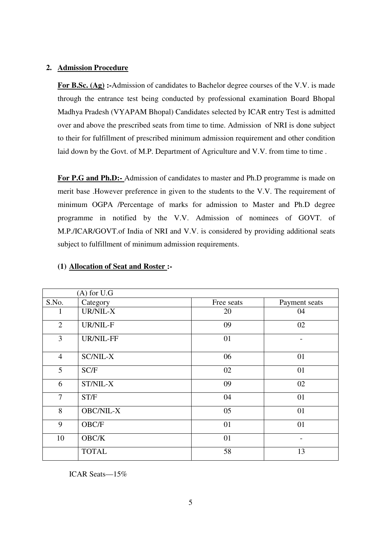## **2. Admission Procedure**

For B.Sc. (Ag) :-Admission of candidates to Bachelor degree courses of the V.V. is made through the entrance test being conducted by professional examination Board Bhopal Madhya Pradesh (VYAPAM Bhopal) Candidates selected by ICAR entry Test is admitted over and above the prescribed seats from time to time. Admission of NRI is done subject to their for fulfillment of prescribed minimum admission requirement and other condition laid down by the Govt. of M.P. Department of Agriculture and V.V. from time to time.

For P.G and Ph.D:- Admission of candidates to master and Ph.D programme is made on merit base .However preference in given to the students to the V.V. The requirement of minimum OGPA /Percentage of marks for admission to Master and Ph.D degree programme in notified by the V.V. Admission of nominees of GOVT. of M.P./ICAR/GOVT.of India of NRI and V.V. is considered by providing additional seats subject to fulfillment of minimum admission requirements.

|                | $(A)$ for U.G    |            |               |
|----------------|------------------|------------|---------------|
| S.No.          | Category         | Free seats | Payment seats |
| I              | UR/NIL-X         | 20         | 04            |
| $\overline{2}$ | UR/NIL-F         | 09         | 02            |
| 3              | UR/NIL-FF        | 01         |               |
| $\overline{4}$ | <b>SC/NIL-X</b>  | 06         | 01            |
| 5              | SC/F             | 02         | 01            |
| 6              | ST/NIL-X         | 09         | 02            |
| $\overline{7}$ | ST/F             | 04         | 01            |
| 8              | <b>OBC/NIL-X</b> | 05         | 01            |
| 9              | OBC/F            | 01         | 01            |
| 10             | OBC/K            | 01         |               |
|                | <b>TOTAL</b>     | 58         | 13            |

## **(1) Allocation of Seat and Roster :-**

ICAR Seats—15%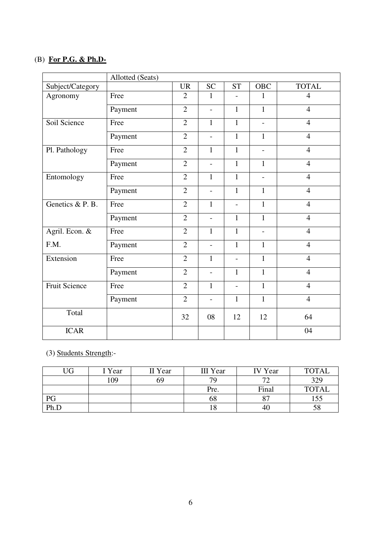## (B) **For P.G. & Ph.D-**

|                      | Allotted (Seats) |                                   |                          |                          |                          |                |
|----------------------|------------------|-----------------------------------|--------------------------|--------------------------|--------------------------|----------------|
| Subject/Category     |                  | $\ensuremath{\mathsf{UR}}\xspace$ | <b>SC</b>                | <b>ST</b>                | <b>OBC</b>               | <b>TOTAL</b>   |
| Agronomy             | Free             | $\overline{2}$                    | $\mathbf{1}$             |                          | 1                        | $\overline{4}$ |
|                      | Payment          | $\overline{2}$                    | $\overline{a}$           | $\mathbf{1}$             | $\mathbf{1}$             | $\overline{4}$ |
| Soil Science         | Free             | $\overline{2}$                    | $\mathbf{1}$             | $\mathbf{1}$             | $\overline{\phantom{a}}$ | $\overline{4}$ |
|                      | Payment          | $\overline{2}$                    | $\overline{\phantom{0}}$ | $\mathbf{1}$             | $\mathbf{1}$             | $\overline{4}$ |
| Pl. Pathology        | Free             | $\overline{2}$                    | $\mathbf{1}$             | $\mathbf{1}$             | $\overline{a}$           | $\overline{4}$ |
|                      | Payment          | $\overline{2}$                    | $\overline{\phantom{a}}$ | $\mathbf{1}$             | $\mathbf{1}$             | $\overline{4}$ |
| Entomology           | Free             | $\overline{2}$                    | $\mathbf{1}$             | $\mathbf{1}$             | $\overline{\phantom{a}}$ | $\overline{4}$ |
|                      | Payment          | $\overline{2}$                    | $\overline{\phantom{a}}$ | $\mathbf{1}$             | $\mathbf{1}$             | $\overline{4}$ |
| Genetics & P. B.     | Free             | $\overline{2}$                    | $\mathbf{1}$             |                          | $\mathbf{1}$             | $\overline{4}$ |
|                      | Payment          | $\overline{2}$                    | $\overline{a}$           | $\mathbf{1}$             | $\mathbf{1}$             | $\overline{4}$ |
| Agril. Econ. &       | Free             | $\overline{2}$                    | $\mathbf{1}$             | $\mathbf{1}$             | $\overline{\phantom{a}}$ | $\overline{4}$ |
| F.M.                 | Payment          | $\overline{2}$                    | $\overline{\phantom{a}}$ | $\mathbf{1}$             | $\mathbf{1}$             | $\overline{4}$ |
| Extension            | Free             | $\overline{2}$                    | $\mathbf{1}$             | $\overline{\phantom{a}}$ | $\mathbf{1}$             | $\overline{4}$ |
|                      | Payment          | $\overline{2}$                    | $\overline{\phantom{a}}$ | $\mathbf{1}$             | $\mathbf{1}$             | $\overline{4}$ |
| <b>Fruit Science</b> | Free             | $\overline{2}$                    | $\mathbf{1}$             | $\overline{a}$           | $\mathbf{1}$             | $\overline{4}$ |
|                      | Payment          | $\overline{2}$                    | $\overline{\phantom{a}}$ | $\mathbf{1}$             | $\mathbf{1}$             | $\overline{4}$ |
| Total                |                  | 32                                | 08                       | 12                       | 12                       | 64             |
| <b>ICAR</b>          |                  |                                   |                          |                          |                          | 04             |

## (3) Students Strength:-

| UG   | I Year | II Year | III Year | <b>IV</b> Year | <b>TOTAL</b> |
|------|--------|---------|----------|----------------|--------------|
|      | 109    | 69      | 70       | $7^{\circ}$    | 329          |
|      |        |         | Pre.     | Final          | <b>TOTAL</b> |
| PG   |        |         | 68       | $\circ$<br>٥.  | 155          |
| Ph.D |        |         | 10       | 40             | 58           |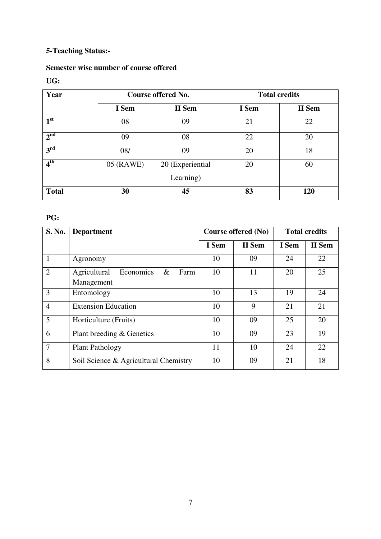# **5-Teaching Status:-**

# **Semester wise number of course offered**

## **UG:**

| Year            |           | Course offered No.            | <b>Total credits</b> |        |
|-----------------|-----------|-------------------------------|----------------------|--------|
|                 | I Sem     | II Sem                        | I Sem                | II Sem |
| 1 <sup>st</sup> | 08        | 09                            | 21                   | 22     |
| 2 <sup>nd</sup> | 09        | 08                            | 22                   | 20     |
| $3^{\rm rd}$    | 08/       | 09                            | 20                   | 18     |
| 4 <sup>th</sup> | 05 (RAWE) | 20 (Experiential<br>Learning) | 20                   | 60     |
| <b>Total</b>    | 30        | 45                            | 83                   | 120    |

## **PG:**

| S. No.         | <b>Department</b>                                       |       | Course offered (No) |       | <b>Total credits</b> |  |
|----------------|---------------------------------------------------------|-------|---------------------|-------|----------------------|--|
|                |                                                         | I Sem | II Sem              | I Sem | II Sem               |  |
| 1              | Agronomy                                                | 10    | 09                  | 24    | 22                   |  |
| $\overline{2}$ | Agricultural<br>Economics<br>$\&$<br>Farm<br>Management | 10    | 11                  | 20    | 25                   |  |
| 3              | Entomology                                              | 10    | 13                  | 19    | 24                   |  |
| $\overline{4}$ | <b>Extension Education</b>                              | 10    | 9                   | 21    | 21                   |  |
| 5              | Horticulture (Fruits)                                   | 10    | 09                  | 25    | 20                   |  |
| 6              | Plant breeding & Genetics                               | 10    | 09                  | 23    | 19                   |  |
| $\overline{7}$ | <b>Plant Pathology</b>                                  | 11    | 10                  | 24    | 22                   |  |
| 8              | Soil Science & Agricultural Chemistry                   | 10    | 09                  | 21    | 18                   |  |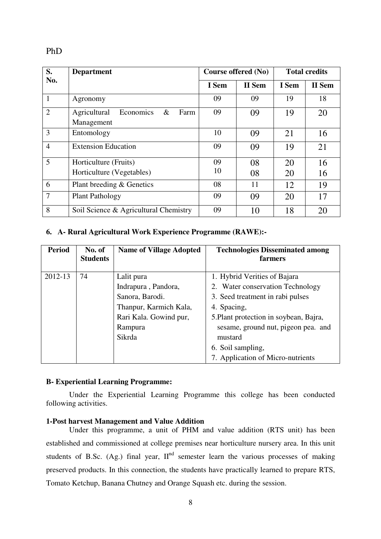PhD

| S.             | <b>Department</b>                         |       | Course offered (No) | <b>Total credits</b> |        |
|----------------|-------------------------------------------|-------|---------------------|----------------------|--------|
| No.            |                                           | I Sem | <b>II</b> Sem       | I Sem                | II Sem |
| $\mathbf{1}$   | Agronomy                                  | 09    | 09                  | 19                   | 18     |
| $\overline{2}$ | Agricultural<br>$\&$<br>Economics<br>Farm | 09    | 09                  | 19                   | 20     |
|                | Management                                |       |                     |                      |        |
| 3              | Entomology                                | 10    | 09                  | 21                   | 16     |
| $\overline{4}$ | <b>Extension Education</b>                | 09    | 09                  | 19                   | 21     |
| 5              | Horticulture (Fruits)                     | 09    | 08                  | 20                   | 16     |
|                | Horticulture (Vegetables)                 | 10    | 08                  | 20                   | 16     |
| 6              | Plant breeding & Genetics                 | 08    | 11                  | 12                   | 19     |
| $\overline{7}$ | <b>Plant Pathology</b>                    | 09    | 09                  | 20                   | 17     |
| 8              | Soil Science & Agricultural Chemistry     | 09    | 10                  | 18                   | 20     |

## **6. A- Rural Agricultural Work Experience Programme (RAWE):-**

| <b>Period</b> | No. of<br><b>Students</b> | <b>Name of Village Adopted</b> | <b>Technologies Disseminated among</b><br>farmers |
|---------------|---------------------------|--------------------------------|---------------------------------------------------|
| 2012-13       | 74                        | Lalit pura                     | 1. Hybrid Verities of Bajara                      |
|               |                           | Indrapura, Pandora,            | 2. Water conservation Technology                  |
|               |                           | Sanora, Barodi.                | 3. Seed treatment in rabi pulses                  |
|               |                           | Thanpur, Karmich Kala,         | 4. Spacing,                                       |
|               |                           | Rari Kala. Gowind pur,         | 5. Plant protection in soybean, Bajra,            |
|               |                           | Rampura                        | sesame, ground nut, pigeon pea. and               |
|               |                           | Sikrda                         | mustard                                           |
|               |                           |                                | 6. Soil sampling,                                 |
|               |                           |                                | 7. Application of Micro-nutrients                 |

### **B- Experiential Learning Programme:**

Under the Experiential Learning Programme this college has been conducted following activities.

## **1-Post harvest Management and Value Addition**

Under this programme, a unit of PHM and value addition (RTS unit) has been established and commissioned at college premises near horticulture nursery area. In this unit students of B.Sc. (Ag.) final year,  $II<sup>nd</sup>$  semester learn the various processes of making preserved products. In this connection, the students have practically learned to prepare RTS, Tomato Ketchup, Banana Chutney and Orange Squash etc. during the session.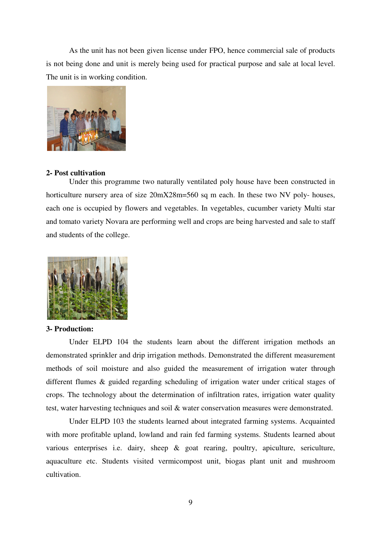As the unit has not been given license under FPO, hence commercial sale of products is not being done and unit is merely being used for practical purpose and sale at local level. The unit is in working condition.



### **2- Post cultivation**

Under this programme two naturally ventilated poly house have been constructed in horticulture nursery area of size  $20mX28m=560$  sq m each. In these two NV poly- houses, each one is occupied by flowers and vegetables. In vegetables, cucumber variety Multi star and tomato variety Novara are performing well and crops are being harvested and sale to staff and students of the college.



### **3- Production:**

Under ELPD 104 the students learn about the different irrigation methods an demonstrated sprinkler and drip irrigation methods. Demonstrated the different measurement methods of soil moisture and also guided the measurement of irrigation water through different flumes & guided regarding scheduling of irrigation water under critical stages of crops. The technology about the determination of infiltration rates, irrigation water quality test, water harvesting techniques and soil & water conservation measures were demonstrated.

 Under ELPD 103 the students learned about integrated farming systems. Acquainted with more profitable upland, lowland and rain fed farming systems. Students learned about various enterprises i.e. dairy, sheep & goat rearing, poultry, apiculture, sericulture, aquaculture etc. Students visited vermicompost unit, biogas plant unit and mushroom cultivation.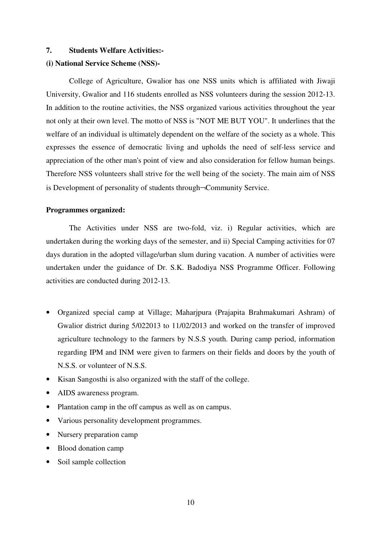## **7. Students Welfare Activities:-**

### **(i) National Service Scheme (NSS)-**

College of Agriculture, Gwalior has one NSS units which is affiliated with Jiwaji University, Gwalior and 116 students enrolled as NSS volunteers during the session 2012-13. In addition to the routine activities, the NSS organized various activities throughout the year not only at their own level. The motto of NSS is "NOT ME BUT YOU". It underlines that the welfare of an individual is ultimately dependent on the welfare of the society as a whole. This expresses the essence of democratic living and upholds the need of self-less service and appreciation of the other man's point of view and also consideration for fellow human beings. Therefore NSS volunteers shall strive for the well being of the society. The main aim of NSS is Development of personality of students through¬Community Service.

#### **Programmes organized:**

The Activities under NSS are two-fold, viz. i) Regular activities, which are undertaken during the working days of the semester, and ii) Special Camping activities for 07 days duration in the adopted village/urban slum during vacation. A number of activities were undertaken under the guidance of Dr. S.K. Badodiya NSS Programme Officer. Following activities are conducted during 2012-13.

- Organized special camp at Village; Maharjpura (Prajapita Brahmakumari Ashram) of Gwalior district during 5/022013 to 11/02/2013 and worked on the transfer of improved agriculture technology to the farmers by N.S.S youth. During camp period, information regarding IPM and INM were given to farmers on their fields and doors by the youth of N.S.S. or volunteer of N.S.S.
- Kisan Sangosthi is also organized with the staff of the college.
- AIDS awareness program.
- Plantation camp in the off campus as well as on campus.
- Various personality development programmes.
- Nursery preparation camp
- Blood donation camp
- Soil sample collection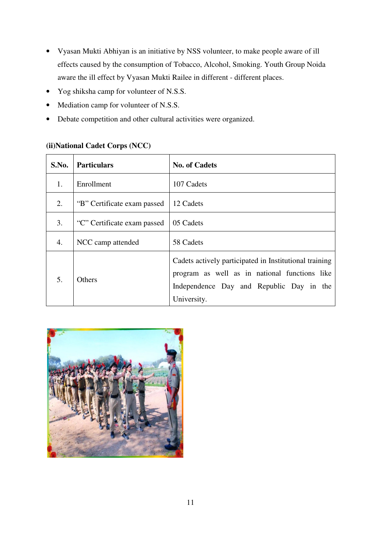- Vyasan Mukti Abhiyan is an initiative by NSS volunteer, to make people aware of ill effects caused by the consumption of Tobacco, Alcohol, Smoking. Youth Group Noida aware the ill effect by Vyasan Mukti Railee in different - different places.
- Yog shiksha camp for volunteer of N.S.S.
- Mediation camp for volunteer of N.S.S.
- Debate competition and other cultural activities were organized.

## **(ii)National Cadet Corps (NCC)**

| S.No. | <b>Particulars</b>          | <b>No. of Cadets</b>                                                                                                                                               |  |  |  |  |
|-------|-----------------------------|--------------------------------------------------------------------------------------------------------------------------------------------------------------------|--|--|--|--|
| 1.    | Enrollment                  | 107 Cadets                                                                                                                                                         |  |  |  |  |
| 2.    | "B" Certificate exam passed | 12 Cadets                                                                                                                                                          |  |  |  |  |
| 3.    | "C" Certificate exam passed | 05 Cadets                                                                                                                                                          |  |  |  |  |
| 4.    | NCC camp attended           | 58 Cadets                                                                                                                                                          |  |  |  |  |
| 5.    | <b>Others</b>               | Cadets actively participated in Institutional training<br>program as well as in national functions like<br>Independence Day and Republic Day in the<br>University. |  |  |  |  |

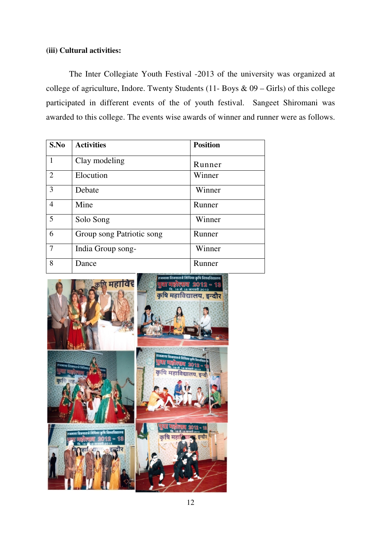## **(iii) Cultural activities:**

The Inter Collegiate Youth Festival -2013 of the university was organized at college of agriculture, Indore. Twenty Students (11- Boys  $\&$  09 – Girls) of this college participated in different events of the of youth festival. Sangeet Shiromani was awarded to this college. The events wise awards of winner and runner were as follows.

| S.No           | <b>Activities</b>         | <b>Position</b> |
|----------------|---------------------------|-----------------|
| 1              | Clay modeling             | Runner          |
| $\overline{2}$ | Elocution                 | Winner          |
| 3              | Debate                    | Winner          |
| 4              | Mine                      | Runner          |
| 5              | Solo Song                 | Winner          |
| 6              | Group song Patriotic song | Runner          |
| $\overline{7}$ | India Group song-         | Winner          |
| 8              | Dance                     | Runner          |

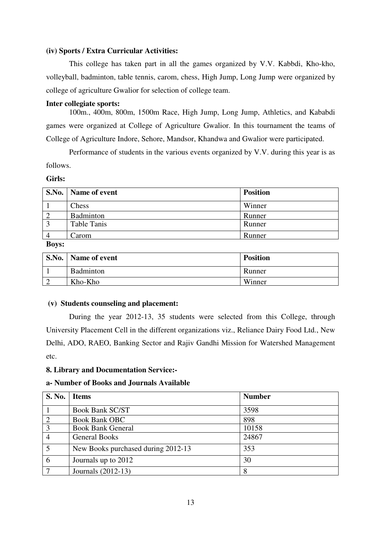## **(iv) Sports / Extra Curricular Activities:**

This college has taken part in all the games organized by V.V. Kabbdi, Kho-kho, volleyball, badminton, table tennis, carom, chess, High Jump, Long Jump were organized by college of agriculture Gwalior for selection of college team.

### **Inter collegiate sports:**

100m., 400m, 800m, 1500m Race, High Jump, Long Jump, Athletics, and Kababdi games were organized at College of Agriculture Gwalior. In this tournament the teams of College of Agriculture Indore, Sehore, Mandsor, Khandwa and Gwalior were participated.

Performance of students in the various events organized by V.V. during this year is as follows.

### **Girls:**

|                | S.No.   Name of event | <b>Position</b> |
|----------------|-----------------------|-----------------|
|                | Chess                 | Winner          |
| $\overline{2}$ | Badminton             | Runner          |
| $\mathcal{L}$  | <b>Table Tanis</b>    | Runner          |
|                | Carom                 | Runner          |

### **Boys:**

| S.No.   Name of event | <b>Position</b> |
|-----------------------|-----------------|
| Badminton             | Runner          |
| Kho-Kho               | Winner          |

#### **(v) Students counseling and placement:**

During the year 2012-13, 35 students were selected from this College, through University Placement Cell in the different organizations viz., Reliance Dairy Food Ltd., New Delhi, ADO, RAEO, Banking Sector and Rajiv Gandhi Mission for Watershed Management etc.

## **8. Library and Documentation Service:-**

#### **a- Number of Books and Journals Available**

| <b>S. No.</b>  | <b>Items</b>                       | <b>Number</b> |
|----------------|------------------------------------|---------------|
|                | <b>Book Bank SC/ST</b>             | 3598          |
| $\overline{2}$ | <b>Book Bank OBC</b>               | 898           |
| 3              | <b>Book Bank General</b>           | 10158         |
|                | <b>General Books</b>               | 24867         |
| 5              | New Books purchased during 2012-13 | 353           |
| 6              | Journals up to 2012                | 30            |
|                | Journals (2012-13)                 | 8             |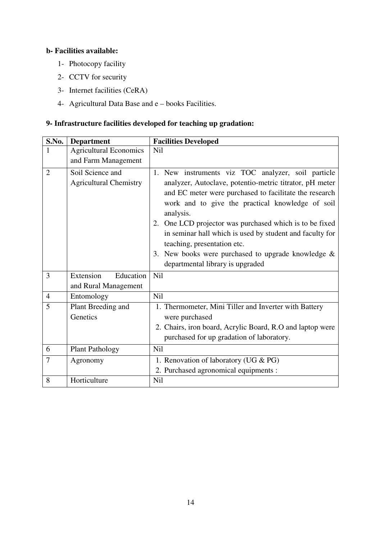# **b- Facilities available:**

- 1- Photocopy facility
- 2- CCTV for security
- 3- Internet facilities (CeRA)
- 4- Agricultural Data Base and e books Facilities.

## **9- Infrastructure facilities developed for teaching up gradation:**

| S.No.          | <b>Department</b>                                 | <b>Facilities Developed</b>                                                                                                                                                                                                                                                                                                                                                                                                                                                                 |  |
|----------------|---------------------------------------------------|---------------------------------------------------------------------------------------------------------------------------------------------------------------------------------------------------------------------------------------------------------------------------------------------------------------------------------------------------------------------------------------------------------------------------------------------------------------------------------------------|--|
| 1              | <b>Agricultural Economics</b>                     | <b>Nil</b>                                                                                                                                                                                                                                                                                                                                                                                                                                                                                  |  |
|                | and Farm Management                               |                                                                                                                                                                                                                                                                                                                                                                                                                                                                                             |  |
| $\overline{2}$ | Soil Science and<br><b>Agricultural Chemistry</b> | 1. New instruments viz TOC analyzer, soil particle<br>analyzer, Autoclave, potentio-metric titrator, pH meter<br>and EC meter were purchased to facilitate the research<br>work and to give the practical knowledge of soil<br>analysis.<br>2. One LCD projector was purchased which is to be fixed<br>in seminar hall which is used by student and faculty for<br>teaching, presentation etc.<br>3. New books were purchased to upgrade knowledge $\&$<br>departmental library is upgraded |  |
| 3              | Education<br>Extension<br>and Rural Management    | <b>Nil</b>                                                                                                                                                                                                                                                                                                                                                                                                                                                                                  |  |
| $\overline{4}$ | Entomology                                        | Nil                                                                                                                                                                                                                                                                                                                                                                                                                                                                                         |  |
| 5              | Plant Breeding and<br>Genetics                    | 1. Thermometer, Mini Tiller and Inverter with Battery<br>were purchased<br>2. Chairs, iron board, Acrylic Board, R.O and laptop were<br>purchased for up gradation of laboratory.                                                                                                                                                                                                                                                                                                           |  |
| 6              | <b>Plant Pathology</b>                            | Nil                                                                                                                                                                                                                                                                                                                                                                                                                                                                                         |  |
| $\overline{7}$ | Agronomy                                          | 1. Renovation of laboratory (UG & PG)<br>2. Purchased agronomical equipments :                                                                                                                                                                                                                                                                                                                                                                                                              |  |
| 8              | Horticulture                                      | Nil                                                                                                                                                                                                                                                                                                                                                                                                                                                                                         |  |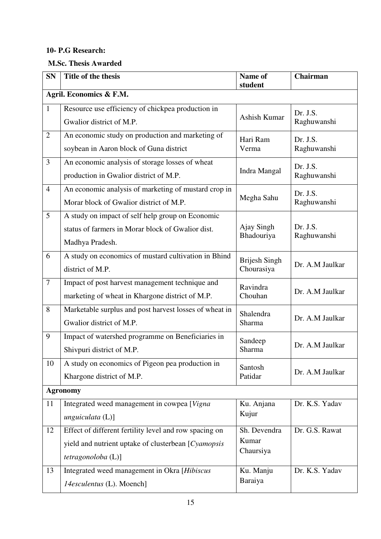## **10- P.G Research:**

# **M.Sc. Thesis Awarded**

| <b>SN</b>       | Title of the thesis                                                                                                                  | Name of<br>student                 | Chairman                |
|-----------------|--------------------------------------------------------------------------------------------------------------------------------------|------------------------------------|-------------------------|
|                 | Agril. Economics & F.M.                                                                                                              |                                    |                         |
| $\mathbf{1}$    | Resource use efficiency of chickpea production in<br>Gwalior district of M.P.                                                        | Ashish Kumar                       | Dr. J.S.<br>Raghuwanshi |
| $\overline{2}$  | An economic study on production and marketing of<br>soybean in Aaron block of Guna district                                          | Hari Ram<br>Verma                  | Dr. J.S.<br>Raghuwanshi |
| 3               | An economic analysis of storage losses of wheat<br>production in Gwalior district of M.P.                                            | Indra Mangal                       | Dr. J.S.<br>Raghuwanshi |
| $\overline{4}$  | An economic analysis of marketing of mustard crop in<br>Morar block of Gwalior district of M.P.                                      | Megha Sahu                         | Dr. J.S.<br>Raghuwanshi |
| 5               | A study on impact of self help group on Economic<br>status of farmers in Morar block of Gwalior dist.<br>Madhya Pradesh.             | Ajay Singh<br>Bhadouriya           | Dr. J.S.<br>Raghuwanshi |
| 6               | A study on economics of mustard cultivation in Bhind<br>district of M.P.                                                             | <b>Brijesh Singh</b><br>Chourasiya | Dr. A.M Jaulkar         |
| $\tau$          | Impact of post harvest management technique and<br>marketing of wheat in Khargone district of M.P.                                   | Ravindra<br>Chouhan                | Dr. A.M Jaulkar         |
| 8               | Marketable surplus and post harvest losses of wheat in<br>Gwalior district of M.P.                                                   | Shalendra<br>Sharma                | Dr. A.M Jaulkar         |
| 9               | Impact of watershed programme on Beneficiaries in<br>Shivpuri district of M.P.                                                       | Sandeep<br>Sharma                  | Dr. A.M Jaulkar         |
| 10              | A study on economics of Pigeon pea production in<br>Khargone district of M.P.                                                        | Santosh<br>Patidar                 | Dr. A.M Jaulkar         |
| <b>Agronomy</b> |                                                                                                                                      |                                    |                         |
| 11              | Integrated weed management in cowpea [Vigna]<br>unguiculata (L)]                                                                     | Ku. Anjana<br>Kujur                | Dr. K.S. Yadav          |
| 12              | Effect of different fertility level and row spacing on<br>yield and nutrient uptake of clusterbean [Cyamopsis]<br>tetragonoloba (L)] | Sh. Devendra<br>Kumar<br>Chaursiya | Dr. G.S. Rawat          |
| 13              | Integrated weed management in Okra [Hibiscus]<br>14esculentus (L). Moench]                                                           | Ku. Manju<br>Baraiya               | Dr. K.S. Yadav          |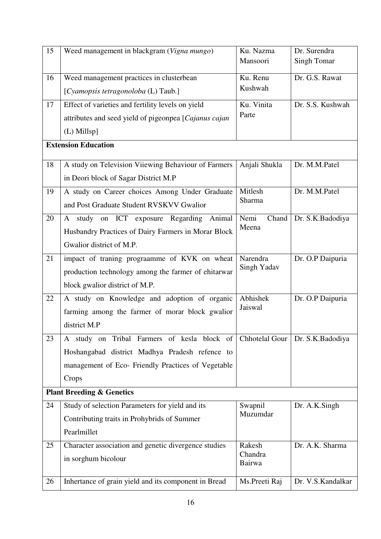| 15 | Weed management in blackgram (Vigna mungo)            | Ku. Nazma         | Dr. Surendra       |
|----|-------------------------------------------------------|-------------------|--------------------|
|    |                                                       | Mansoori          | <b>Singh Tomar</b> |
| 16 | Weed management practices in clusterbean              | Ku. Renu          | Dr. G.S. Rawat     |
|    | [Cyamopsis tetragonoloba (L) Taub.]                   | Kushwah           |                    |
| 17 | Effect of varieties and fertility levels on yield     | Ku. Vinita        | Dr. S.S. Kushwah   |
|    | attributes and seed yield of pigeonpea [Cajanus cajan | Parte             |                    |
|    | (L) Millsp]                                           |                   |                    |
|    | <b>Extension Education</b>                            |                   |                    |
| 18 | A study on Television Viiewing Behaviour of Farmers   | Anjali Shukla     | Dr. M.M.Patel      |
|    | in Deori block of Sagar District M.P                  |                   |                    |
| 19 | A study on Career choices Among Under Graduate        | Mitlesh           | Dr. M.M.Patel      |
|    | and Post Graduate Student RVSKVV Gwalior              | Sharma            |                    |
| 20 | study on ICT exposure Regarding<br>Animal<br>A        | Nemi<br>Chand     | Dr. S.K.Badodiya   |
|    | Husbandry Practices of Dairy Farmers in Morar Block   | Meena             |                    |
|    | Gwalior district of M.P.                              |                   |                    |
| 21 | impact of traning prograamme of KVK on wheat          | Narendra          | Dr. O.P Daipuria   |
|    | production technology among the farmer of ehitarwar   | Singh Yadav       |                    |
|    | block gwalior district of M.P.                        |                   |                    |
| 22 | A study on Knowledge and adoption of organic          | Abhishek          | Dr. O.P Daipuria   |
|    | farming among the farmer of morar block gwalior       | Jaiswal           |                    |
|    | district M.P                                          |                   |                    |
| 23 | A study on Tribal Farmers of kesla block of           | Chhotelal Gour    | Dr. S.K.Badodiya   |
|    | Hoshangabad district Madhya Pradesh refence to        |                   |                    |
|    | management of Eco- Friendly Practices of Vegetable    |                   |                    |
|    | Crops                                                 |                   |                    |
|    | <b>Plant Breeding &amp; Genetics</b>                  |                   |                    |
| 24 | Study of selection Parameters for yield and its       | Swapnil           | Dr. A.K.Singh      |
|    | Contributing traits in Prohybrids of Summer           | Muzumdar          |                    |
|    | Pearlmillet                                           |                   |                    |
| 25 | Character association and genetic divergence studies  | Rakesh            | Dr. A.K. Sharma    |
|    | in sorghum bicolour                                   | Chandra<br>Bairwa |                    |
|    |                                                       |                   |                    |
| 26 | Inhertance of grain yield and its component in Bread  | Ms.Preeti Raj     | Dr. V.S. Kandalkar |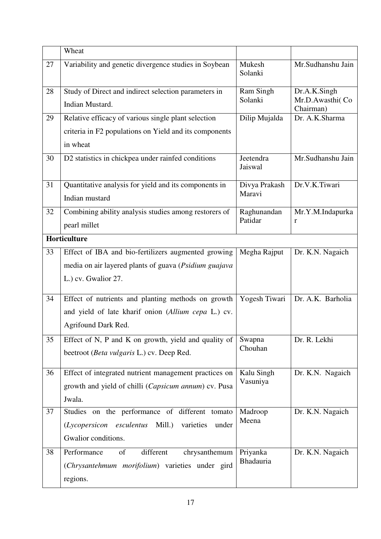|    | Wheat                                                                   |                              |                                              |  |
|----|-------------------------------------------------------------------------|------------------------------|----------------------------------------------|--|
| 27 | Variability and genetic divergence studies in Soybean                   | Mukesh<br>Solanki            | Mr.Sudhanshu Jain                            |  |
| 28 | Study of Direct and indirect selection parameters in<br>Indian Mustard. | Ram Singh<br>Solanki         | Dr.A.K.Singh<br>Mr.D.Awasthi(Co<br>Chairman) |  |
| 29 | Relative efficacy of various single plant selection                     | Dilip Mujalda                | Dr. A.K.Sharma                               |  |
|    | criteria in F2 populations on Yield and its components                  |                              |                                              |  |
|    | in wheat                                                                |                              |                                              |  |
| 30 | D2 statistics in chickpea under rainfed conditions                      | Jeetendra<br>Jaiswal         | Mr.Sudhanshu Jain                            |  |
| 31 | Quantitative analysis for yield and its components in<br>Indian mustard | Divya Prakash<br>Maravi      | Dr.V.K.Tiwari                                |  |
| 32 | Combining ability analysis studies among restorers of<br>pearl millet   | Raghunandan<br>Patidar       | Mr.Y.M.Indapurka<br>r                        |  |
|    | Horticulture                                                            |                              |                                              |  |
| 33 | Effect of IBA and bio-fertilizers augmented growing                     | Megha Rajput                 | Dr. K.N. Nagaich                             |  |
|    | media on air layered plants of guava (Psidium guajava                   |                              |                                              |  |
|    | L.) cv. Gwalior 27.                                                     |                              |                                              |  |
| 34 | Effect of nutrients and planting methods on growth                      | Yogesh Tiwari                | Dr. A.K. Barholia                            |  |
|    | and yield of late kharif onion (Allium cepa L.) cv.                     |                              |                                              |  |
|    | Agrifound Dark Red.                                                     |                              |                                              |  |
| 35 | Effect of N, P and K on growth, yield and quality of                    | Swapna<br>Chouhan            | Dr. R. Lekhi                                 |  |
|    | beetroot (Beta vulgaris L.) cv. Deep Red.                               |                              |                                              |  |
| 36 | Effect of integrated nutrient management practices on                   | Kalu Singh                   | Dr. K.N. Nagaich                             |  |
|    | growth and yield of chilli (Capsicum annum) cv. Pusa                    | Vasuniya                     |                                              |  |
|    | Jwala.                                                                  |                              |                                              |  |
| 37 | Studies on the performance of different tomato                          | Madroop                      | Dr. K.N. Nagaich                             |  |
|    | Mill.)<br>varieties<br>(Lycopersicon esculentus<br>under                | Meena                        |                                              |  |
|    | Gwalior conditions.                                                     |                              |                                              |  |
| 38 | Performance<br>of<br>different<br>chrysanthemum                         | Priyanka<br><b>Bhadauria</b> | Dr. K.N. Nagaich                             |  |
|    | (Chrysantehmum morifolium) varieties under gird                         |                              |                                              |  |
|    | regions.                                                                |                              |                                              |  |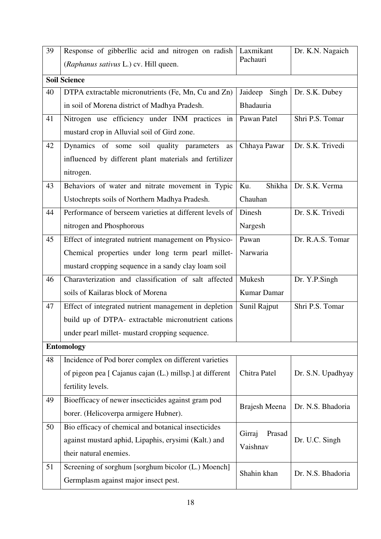| 39 | Response of gibberllic acid and nitrogen on radish       | Laxmikant                  | Dr. K.N. Nagaich  |
|----|----------------------------------------------------------|----------------------------|-------------------|
|    | (Raphanus sativus L.) cv. Hill queen.                    | Pachauri                   |                   |
|    | <b>Soil Science</b>                                      |                            |                   |
| 40 | DTPA extractable micronutrients (Fe, Mn, Cu and Zn)      | Singh<br>Jaideep           | Dr. S.K. Dubey    |
|    | in soil of Morena district of Madhya Pradesh.            | <b>Bhadauria</b>           |                   |
| 41 | Nitrogen use efficiency under INM practices in           | Pawan Patel                | Shri P.S. Tomar   |
|    | mustard crop in Alluvial soil of Gird zone.              |                            |                   |
| 42 | Dynamics of some soil quality parameters<br>as           | Chhaya Pawar               | Dr. S.K. Trivedi  |
|    | influenced by different plant materials and fertilizer   |                            |                   |
|    | nitrogen.                                                |                            |                   |
| 43 | Behaviors of water and nitrate movement in Typic         | Shikha <sup>1</sup><br>Ku. | Dr. S.K. Verma    |
|    | Ustochrepts soils of Northern Madhya Pradesh.            | Chauhan                    |                   |
| 44 | Performance of berseem varieties at different levels of  | Dinesh                     | Dr. S.K. Trivedi  |
|    | nitrogen and Phosphorous                                 | Nargesh                    |                   |
| 45 | Effect of integrated nutrient management on Physico-     | Pawan                      | Dr. R.A.S. Tomar  |
|    | Chemical properties under long term pearl millet-        | Narwaria                   |                   |
|    | mustard cropping sequence in a sandy clay loam soil      |                            |                   |
| 46 | Charavterization and classification of salt affected     | Mukesh                     | Dr. Y.P.Singh     |
|    | soils of Kailaras block of Morena                        | Kumar Damar                |                   |
| 47 | Effect of integrated nutrient management in depletion    | Sunil Rajput               | Shri P.S. Tomar   |
|    | build up of DTPA- extractable micronutrient cations      |                            |                   |
|    | under pearl millet- mustard cropping sequence.           |                            |                   |
|    | <b>Entomology</b>                                        |                            |                   |
| 48 | Incidence of Pod borer complex on different varieties    |                            |                   |
|    | of pigeon pea [ Cajanus cajan (L.) millsp.] at different | Chitra Patel               | Dr. S.N. Upadhyay |
|    | fertility levels.                                        |                            |                   |
| 49 | Bioefficacy of newer insecticides against gram pod       | Brajesh Meena              | Dr. N.S. Bhadoria |
|    | borer. (Helicoverpa armigere Hubner).                    |                            |                   |
| 50 | Bio efficacy of chemical and botanical insecticides      | Prasad<br>Girraj           |                   |
|    | against mustard aphid, Lipaphis, erysimi (Kalt.) and     | Vaishnav                   | Dr. U.C. Singh    |
|    | their natural enemies.                                   |                            |                   |
| 51 | Screening of sorghum [sorghum bicolor (L.) Moench]       | Shahin khan                | Dr. N.S. Bhadoria |
|    | Germplasm against major insect pest.                     |                            |                   |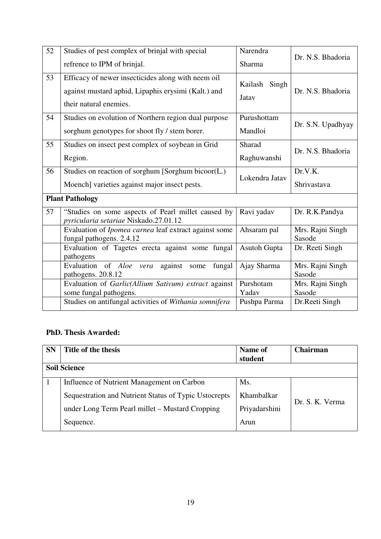| 52 | Studies of pest complex of brinjal with special                                                                                     | Narendra                  |                            |
|----|-------------------------------------------------------------------------------------------------------------------------------------|---------------------------|----------------------------|
|    | refrence to IPM of brinjal.                                                                                                         | Sharma                    | Dr. N.S. Bhadoria          |
| 53 | Efficacy of newer insecticides along with neem oil<br>against mustard aphid, Lipaphis erysimi (Kalt.) and<br>their natural enemies. | Singh<br>Kailash<br>Jatav | Dr. N.S. Bhadoria          |
| 54 | Studies on evolution of Northern region dual purpose<br>sorghum genotypes for shoot fly / stem borer.                               | Purushottam<br>Mandloi    | Dr. S.N. Upadhyay          |
| 55 | Studies on insect pest complex of soybean in Grid                                                                                   | Sharad                    |                            |
|    | Region.                                                                                                                             | Raghuwanshi               | Dr. N.S. Bhadoria          |
| 56 | Studies on reaction of sorghum [Sorghum bicoor(L.)                                                                                  |                           | Dr.V.K.                    |
|    | Moench] varieties against major insect pests.                                                                                       | Lokendra Jatav            | Shrivastava                |
|    | <b>Plant Pathology</b>                                                                                                              |                           |                            |
| 57 | "Studies on some aspects of Pearl millet caused by<br>pyricularia setariae Niskado.27.01.12                                         | Ravi yadav                | Dr. R.K.Pandya             |
|    | Evaluation of Ipomea carnea leaf extract against some<br>fungal pathogens. 2.4.12                                                   | Ahsaram pal               | Mrs. Rajni Singh<br>Sasode |
|    | Evaluation of Tagetes erecta against some fungal<br>pathogens                                                                       | <b>Asutoh Gupta</b>       | Dr. Reeti Singh            |
|    | Evaluation of Aloe vera<br>against<br>fungal<br>some<br>pathogens. 20.8.12                                                          | Ajay Sharma               | Mrs. Rajni Singh<br>Sasode |
|    | Evaluation of Garlic(Allium Sativum) extract against<br>some fungal pathogens.                                                      | Purshotam<br>Yadav        | Mrs. Rajni Singh<br>Sasode |
|    | Studies on antifungal activities of Withania somnifera                                                                              | Pushpa Parma              | Dr.Reeti Singh             |

## **PhD. Thesis Awarded:**

| <b>SN</b> | Title of the thesis                                   | Name of<br>student | <b>Chairman</b> |  |
|-----------|-------------------------------------------------------|--------------------|-----------------|--|
|           | <b>Soil Science</b>                                   |                    |                 |  |
|           | Influence of Nutrient Management on Carbon            | Ms.                |                 |  |
|           | Sequestration and Nutrient Status of Typic Ustocrepts | Khambalkar         |                 |  |
|           | under Long Term Pearl millet – Mustard Cropping       | Priyadarshini      | Dr. S. K. Verma |  |
|           | Sequence.                                             | Arun               |                 |  |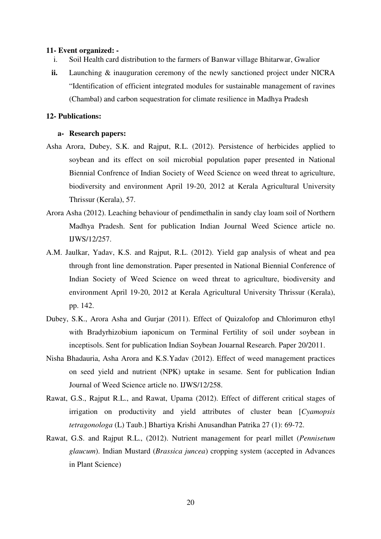#### **11- Event organized: -**

- i. Soil Health card distribution to the farmers of Banwar village Bhitarwar, Gwalior
- **ii.** Launching & inauguration ceremony of the newly sanctioned project under NICRA "Identification of efficient integrated modules for sustainable management of ravines (Chambal) and carbon sequestration for climate resilience in Madhya Pradesh

## **12- Publications:**

### **a- Research papers:**

- Asha Arora, Dubey, S.K. and Rajput, R.L. (2012). Persistence of herbicides applied to soybean and its effect on soil microbial population paper presented in National Biennial Confrence of Indian Society of Weed Science on weed threat to agriculture, biodiversity and environment April 19-20, 2012 at Kerala Agricultural University Thrissur (Kerala), 57.
- Arora Asha (2012). Leaching behaviour of pendimethalin in sandy clay loam soil of Northern Madhya Pradesh. Sent for publication Indian Journal Weed Science article no. IJWS/12/257.
- A.M. Jaulkar, Yadav, K.S. and Rajput, R.L. (2012). Yield gap analysis of wheat and pea through front line demonstration. Paper presented in National Biennial Conference of Indian Society of Weed Science on weed threat to agriculture, biodiversity and environment April 19-20, 2012 at Kerala Agricultural University Thrissur (Kerala), pp. 142.
- Dubey, S.K., Arora Asha and Gurjar (2011). Effect of Quizalofop and Chlorimuron ethyl with Bradyrhizobium iaponicum on Terminal Fertility of soil under soybean in inceptisols. Sent for publication Indian Soybean Jouarnal Research. Paper 20/2011.
- Nisha Bhadauria, Asha Arora and K.S.Yadav (2012). Effect of weed management practices on seed yield and nutrient (NPK) uptake in sesame. Sent for publication Indian Journal of Weed Science article no. IJWS/12/258.
- Rawat, G.S., Rajput R.L., and Rawat, Upama (2012). Effect of different critical stages of irrigation on productivity and yield attributes of cluster bean [*Cyamopsis tetragonologa* (L) Taub.] Bhartiya Krishi Anusandhan Patrika 27 (1): 69-72.
- Rawat, G.S. and Rajput R.L., (2012). Nutrient management for pearl millet (*Pennisetum glaucum*). Indian Mustard (*Brassica juncea*) cropping system (accepted in Advances in Plant Science)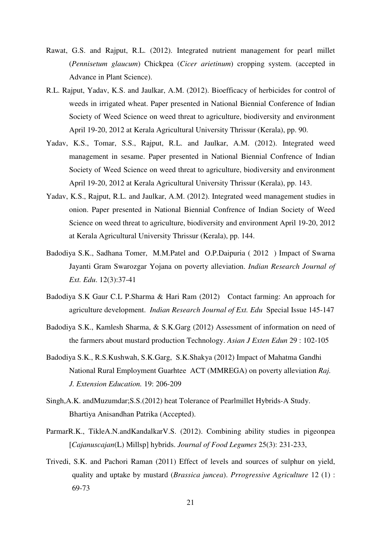- Rawat, G.S. and Rajput, R.L. (2012). Integrated nutrient management for pearl millet (*Pennisetum glaucum*) Chickpea (*Cicer arietinum*) cropping system. (accepted in Advance in Plant Science).
- R.L. Rajput, Yadav, K.S. and Jaulkar, A.M. (2012). Bioefficacy of herbicides for control of weeds in irrigated wheat. Paper presented in National Biennial Conference of Indian Society of Weed Science on weed threat to agriculture, biodiversity and environment April 19-20, 2012 at Kerala Agricultural University Thrissur (Kerala), pp. 90.
- Yadav, K.S., Tomar, S.S., Rajput, R.L. and Jaulkar, A.M. (2012). Integrated weed management in sesame. Paper presented in National Biennial Confrence of Indian Society of Weed Science on weed threat to agriculture, biodiversity and environment April 19-20, 2012 at Kerala Agricultural University Thrissur (Kerala), pp. 143.
- Yadav, K.S., Rajput, R.L. and Jaulkar, A.M. (2012). Integrated weed management studies in onion. Paper presented in National Biennial Confrence of Indian Society of Weed Science on weed threat to agriculture, biodiversity and environment April 19-20, 2012 at Kerala Agricultural University Thrissur (Kerala), pp. 144.
- Badodiya S.K., Sadhana Tomer, M.M.Patel and O.P.Daipuria ( 2012 ) Impact of Swarna Jayanti Gram Swarozgar Yojana on poverty alleviation. *Indian Research Journal of Ext. Edu*. 12(3):37-41
- Badodiya S.K Gaur C.L P.Sharma & Hari Ram (2012) Contact farming: An approach for agriculture development. *Indian Research Journal of Ext. Edu* Special Issue 145-147
- Badodiya S.K., Kamlesh Sharma, & S.K.Garg (2012) Assessment of information on need of the farmers about mustard production Technology. *Asian J Exten Edun* 29 : 102-105
- Badodiya S.K., R.S.Kushwah, S.K.Garg, S.K.Shakya (2012) Impact of Mahatma Gandhi National Rural Employment Guarhtee ACT (MMREGA) on poverty alleviation *Raj. J. Extension Education.* 19: 206-209
- Singh,A.K. andMuzumdar;S.S.(2012) heat Tolerance of Pearlmillet Hybrids-A Study. Bhartiya Anisandhan Patrika (Accepted).
- ParmarR.K., TikleA.N.andKandalkarV.S. (2012). Combining ability studies in pigeonpea [*Cajanuscajan*(L) Millsp] hybrids. *Journal of Food Legumes* 25(3): 231-233,
- Trivedi, S.K. and Pachori Raman (2011) Effect of levels and sources of sulphur on yield, quality and uptake by mustard (*Brassica juncea*). *Prrogressive Agriculture* 12 (1) : 69-73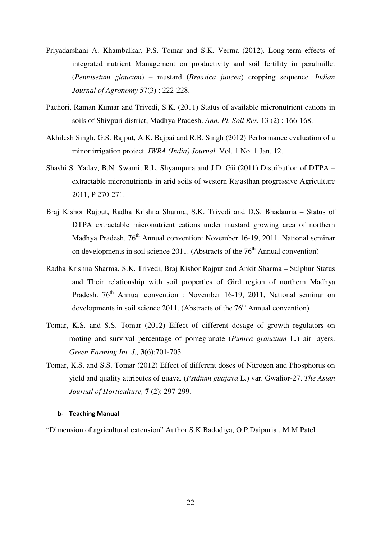- Priyadarshani A. Khambalkar, P.S. Tomar and S.K. Verma (2012). Long-term effects of integrated nutrient Management on productivity and soil fertility in peralmillet (*Pennisetum glaucum*) – mustard (*Brassica juncea*) cropping sequence. *Indian Journal of Agronomy* 57(3) : 222-228.
- Pachori, Raman Kumar and Trivedi, S.K. (2011) Status of available micronutrient cations in soils of Shivpuri district, Madhya Pradesh. *Ann. Pl. Soil Res.* 13 (2) : 166-168.
- Akhilesh Singh, G.S. Rajput, A.K. Bajpai and R.B. Singh (2012) Performance evaluation of a minor irrigation project. *IWRA (India) Journal.* Vol. 1 No. 1 Jan. 12.
- Shashi S. Yadav, B.N. Swami, R.L. Shyampura and J.D. Gii (2011) Distribution of DTPA extractable micronutrients in arid soils of western Rajasthan progressive Agriculture 2011, P 270-271.
- Braj Kishor Rajput, Radha Krishna Sharma, S.K. Trivedi and D.S. Bhadauria Status of DTPA extractable micronutrient cations under mustard growing area of northern Madhya Pradesh.  $76<sup>th</sup>$  Annual convention: November 16-19, 2011, National seminar on developments in soil science 2011. (Abstracts of the  $76<sup>th</sup>$  Annual convention)
- Radha Krishna Sharma, S.K. Trivedi, Braj Kishor Rajput and Ankit Sharma Sulphur Status and Their relationship with soil properties of Gird region of northern Madhya Pradesh. 76<sup>th</sup> Annual convention : November 16-19, 2011, National seminar on developments in soil science 2011. (Abstracts of the  $76<sup>th</sup>$  Annual convention)
- Tomar, K.S. and S.S. Tomar (2012) Effect of different dosage of growth regulators on rooting and survival percentage of pomegranate (*Punica granatum* L.) air layers. *Green Farming Int. J.,* **3**(6):701-703.
- Tomar, K.S. and S.S. Tomar (2012) Effect of different doses of Nitrogen and Phosphorus on yield and quality attributes of guava. (*Psidium guajava* L.) var. Gwalior-27. *The Asian Journal of Horticulture,* **7** (2): 297-299.

#### b- Teaching Manual

"Dimension of agricultural extension" Author S.K.Badodiya, O.P.Daipuria , M.M.Patel